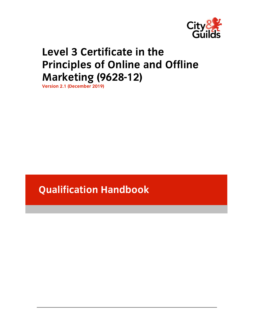

# **Level 3 Certificate in the Principles of Online and Offline Marketing (9628-12)**

**Version 2.1 (December 2019)** 

**Qualification Handbook**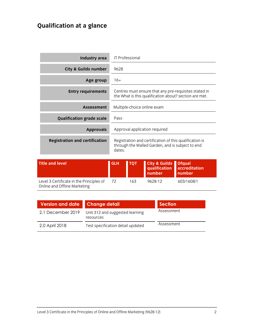# **Qualification at a glance**

| Industry area                         | <b>IT Professional</b>                                                                                                |
|---------------------------------------|-----------------------------------------------------------------------------------------------------------------------|
| <b>City &amp; Guilds number</b>       | 9628                                                                                                                  |
| Age group                             | $16+$                                                                                                                 |
| <b>Entry requirements</b>             | Centres must ensure that any pre-requisites stated in<br>the What is this qualification about? section are met.       |
| <b>Assessment</b>                     | Multiple-choice online exam                                                                                           |
| <b>Qualification grade scale</b>      | Pass                                                                                                                  |
| <b>Approvals</b>                      | Approval application required                                                                                         |
| <b>Registration and certification</b> | Registration and certification of this qualification is<br>through the Walled Garden, and is subject to end<br>dates. |

| <b>Title and level</b>                                                   | <b>GLH</b> | <b>ГОТ</b> | <b>City &amp; Guilds Ofqual</b><br>qualification accreditation<br>number | number     |
|--------------------------------------------------------------------------|------------|------------|--------------------------------------------------------------------------|------------|
| Level 3 Certificate in the Principles of<br>Online and Offline Marketing | - 72       | 163        | 9628-12                                                                  | 603/1608/1 |

| Version and date Change detail |                                              | <b>Section</b> |
|--------------------------------|----------------------------------------------|----------------|
| 2.1 December 2019              | Unit 312 and suggested learning<br>resources | Assessment     |
| 2.0 April 2018                 | Test specification detail updated            | Assessment     |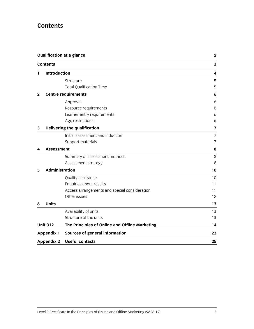# **Contents**

| <b>Qualification at a glance</b><br><b>Contents</b> |                   | $\mathbf{2}$                                   |                         |
|-----------------------------------------------------|-------------------|------------------------------------------------|-------------------------|
|                                                     |                   | 3                                              |                         |
| 1                                                   | Introduction      |                                                | $\overline{\mathbf{4}}$ |
|                                                     |                   | Structure                                      | 5                       |
|                                                     |                   | <b>Total Qualification Time</b>                | 5                       |
| $\mathbf{2}$                                        |                   | <b>Centre requirements</b>                     | 6                       |
|                                                     |                   | Approval                                       | 6                       |
|                                                     |                   | Resource requirements                          | 6                       |
|                                                     |                   | Learner entry requirements                     | 6                       |
|                                                     |                   | Age restrictions                               | 6                       |
| 3                                                   |                   | <b>Delivering the qualification</b>            | 7                       |
|                                                     |                   | Initial assessment and induction               | 7                       |
|                                                     |                   | Support materials                              | 7                       |
| 4                                                   | <b>Assessment</b> |                                                | 8                       |
|                                                     |                   | Summary of assessment methods                  | 8                       |
|                                                     |                   | Assessment strategy                            | 8                       |
| 5                                                   | Administration    |                                                | 10                      |
|                                                     |                   | Quality assurance                              | 10                      |
|                                                     |                   | Enquiries about results                        | 11                      |
|                                                     |                   | Access arrangements and special consideration  | 11                      |
|                                                     |                   | Other issues                                   | 12                      |
| 6                                                   | <b>Units</b>      |                                                | 13                      |
|                                                     |                   | Availability of units                          | 13                      |
|                                                     |                   | Structure of the units                         | 13                      |
|                                                     | <b>Unit 312</b>   | The Principles of Online and Offline Marketing | 14                      |
|                                                     | <b>Appendix 1</b> | Sources of general information                 | 23                      |
|                                                     | <b>Appendix 2</b> | <b>Useful contacts</b>                         | 25                      |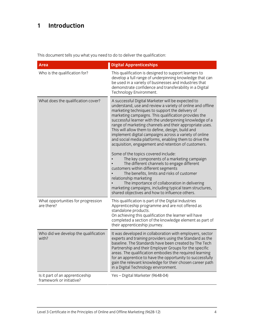# **1 Introduction**

This document tells you what you need to do to deliver the qualification:

| <b>Area</b>                                                 | <b>Digital Apprenticeships</b>                                                                                                                                                                                                                                                                                                                                                                                                                                                                                                                                                                                                                                                                                                                                                                                                                                                                                                                                                                   |
|-------------------------------------------------------------|--------------------------------------------------------------------------------------------------------------------------------------------------------------------------------------------------------------------------------------------------------------------------------------------------------------------------------------------------------------------------------------------------------------------------------------------------------------------------------------------------------------------------------------------------------------------------------------------------------------------------------------------------------------------------------------------------------------------------------------------------------------------------------------------------------------------------------------------------------------------------------------------------------------------------------------------------------------------------------------------------|
| Who is the qualification for?                               | This qualification is designed to support learners to<br>develop a full range of underpinning knowledge that can<br>be used in a variety of businesses and industries that<br>demonstrate confidence and transferability in a Digital<br>Technology Environment.                                                                                                                                                                                                                                                                                                                                                                                                                                                                                                                                                                                                                                                                                                                                 |
| What does the qualification cover?                          | A successful Digital Marketer will be expected to<br>understand, use and review a variety of online and offline<br>marketing techniques to support the delivery of<br>marketing campaigns. This qualification provides the<br>successful learner with the underpinning knowledge of a<br>range of marketing channels and their appropriate uses.<br>This will allow them to define, design, build and<br>implement digital campaigns across a variety of online<br>and social media platforms, enabling them to drive the<br>acquisition, engagement and retention of customers.<br>Some of the topics covered include:<br>The key components of a marketing campaign<br>The different channels to engage different<br>customers within different segments<br>The benefits, limits and risks of customer<br>relationship marketing<br>The importance of collaboration in delivering<br>marketing campaigns, including typical team structures,<br>shared objectives and how to influence others. |
| What opportunities for progression<br>are there?            | This qualification is part of the Digital Industries<br>Apprenticeship programme and are not offered as<br>standalone products.<br>On achieving this qualification the learner will have<br>completed a section of the knowledge element as part of<br>their apprenticeship journey.                                                                                                                                                                                                                                                                                                                                                                                                                                                                                                                                                                                                                                                                                                             |
| Who did we develop the qualification<br>with?               | It was developed in collaboration with employers, sector<br>experts and training providers using the Standard as the<br>baseline. The Standards have been created by The Tech<br>Partnership and their Employer Groups for the specific<br>areas. The qualification embodies the required learning<br>for an apprentice to have the opportunity to successfully<br>gain the relevant knowledge for their chosen career path<br>in a Digital Technology environment.                                                                                                                                                                                                                                                                                                                                                                                                                                                                                                                              |
| Is it part of an apprenticeship<br>framework or initiative? | Yes - Digital Marketer (9648-04)                                                                                                                                                                                                                                                                                                                                                                                                                                                                                                                                                                                                                                                                                                                                                                                                                                                                                                                                                                 |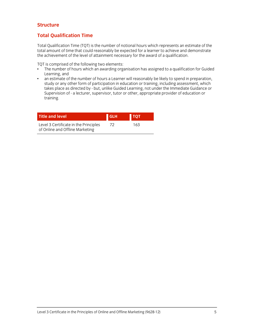### **Structure**

### **Total Qualification Time**

Total Qualification Time (TQT) is the number of notional hours which represents an estimate of the total amount of time that could reasonably be expected for a learner to achieve and demonstrate the achievement of the level of attainment necessary for the award of a qualification.

TQT is comprised of the following two elements:

- The number of hours which an awarding organisation has assigned to a qualification for Guided Learning, and
- an estimate of the number of hours a Learner will reasonably be likely to spend in preparation, study or any other form of participation in education or training, including assessment, which takes place as directed by - but, unlike Guided Learning, not under the Immediate Guidance or Supervision of - a lecturer, supervisor, tutor or other, appropriate provider of education or training.

| <b>Title and level</b>                                                   | <b>GLH</b> | <b>I TOT</b> |
|--------------------------------------------------------------------------|------------|--------------|
| Level 3 Certificate in the Principles<br>of Online and Offline Marketing | 72.        | 163          |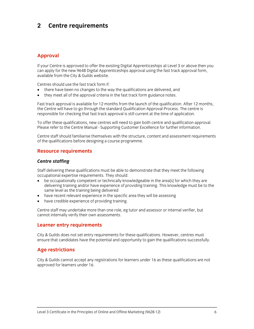# **2 Centre requirements**

### **Approval**

If your Centre is approved to offer the existing Digital Apprenticeships at Level 3 or above then you can apply for the new 9648 Digital Apprenticeships approval using the fast track approval form, available from the City & Guilds website.

Centres should use the fast track form if:

- there have been no changes to the way the qualifications are delivered, and
- they meet all of the approval criteria in the fast track form guidance notes.

Fast track approval is available for 12 months from the launch of the qualification. After 12 months, the Centre will have to go through the standard Qualification Approval Process. The centre is responsible for checking that fast track approval is still current at the time of application.

To offer these qualifications, new centres will need to gain both centre and qualification approval. Please refer to the Centre Manual - Supporting Customer Excellence for further information.

Centre staff should familiarise themselves with the structure, content and assessment requirements of the qualifications before designing a course programme.

### **Resource requirements**

#### *Centre staffing*

Staff delivering these qualifications must be able to demonstrate that they meet the following occupational expertise requirements. They should:

- be occupationally competent or technically knowledgeable in the area[s] for which they are delivering training and/or have experience of providing training. This knowledge must be to the same level as the training being delivered
- have recent relevant experience in the specific area they will be assessing
- have credible experience of providing training.

Centre staff may undertake more than one role, eg tutor and assessor or internal verifier, but cannot internally verify their own assessments.

### **Learner entry requirements**

City & Guilds does not set entry requirements for these qualifications. However, centres must ensure that candidates have the potential and opportunity to gain the qualifications successfully.

### **Age restrictions**

City & Guilds cannot accept any registrations for learners under 16 as these qualifications are not approved for learners under 16.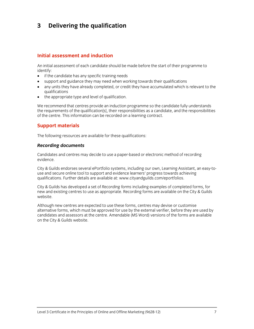# **3 Delivering the qualification**

### **Initial assessment and induction**

An initial assessment of each candidate should be made before the start of their programme to identify:

- if the candidate has any specific training needs
- support and guidance they may need when working towards their qualifications
- any units they have already completed, or credit they have accumulated which is relevant to the qualifications
- the appropriate type and level of qualification.

We recommend that centres provide an induction programme so the candidate fully understands the requirements of the qualification[s], their responsibilities as a candidate, and the responsibilities of the centre. This information can be recorded on a learning contract.

### **Support materials**

The following resources are available for these qualifications:

#### *Recording documents*

Candidates and centres may decide to use a paper-based or electronic method of recording evidence.

City & Guilds endorses several ePortfolio systems, including our own, Learning Assistant, an easy-touse and secure online tool to support and evidence learners' progress towards achieving qualifications. Further details are available at: www.cityandguilds.com/eportfolios.

City & Guilds has developed a set of *Recording forms* including examples of completed forms, for new and existing centres to use as appropriate. Recording forms are available on the City & Guilds website.

Although new centres are expected to use these forms, centres may devise or customise alternative forms, which must be approved for use by the external verifier, before they are used by candidates and assessors at the centre. Amendable (MS Word) versions of the forms are available on the City & Guilds website.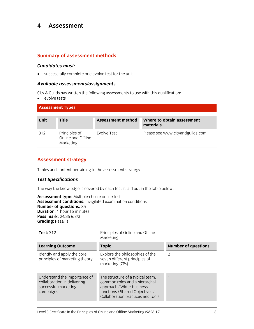### **4 Assessment**

### **Summary of assessment methods**

#### *Candidates must:*

successfully complete one evolve test for the unit

### *Available assessments/assignments*

City & Guilds has written the following assessments to use with this qualification:

• evolve tests

| <b>Assessment Types</b> |                                                  |                   |                                         |
|-------------------------|--------------------------------------------------|-------------------|-----------------------------------------|
| <b>Unit</b>             | <b>Title</b>                                     | Assessment method | Where to obtain assessment<br>materials |
| 312                     | Principles of<br>Online and Offline<br>Marketing | Evolve Test       | Please see www.cityandguilds.com        |

### **Assessment strategy**

Tables and content pertaining to the assessment strategy

### *Test Specifications*

The way the knowledge is covered by each test is laid out in the table below:

**Assessment type:** Multiple-choice online test **Assessment conditions:** Invigilated examination conditions **Number of questions:** 35 **Duration:** 1 hour 15 minutes **Pass mark:** 24/35 (68%) **Grading:** Pass/Fail

| <b>Test: 312</b>                                                                                 | Principles of Online and Offline<br>Marketing                                                                                                                          |                            |
|--------------------------------------------------------------------------------------------------|------------------------------------------------------------------------------------------------------------------------------------------------------------------------|----------------------------|
| <b>Learning Outcome</b>                                                                          | <b>Topic</b>                                                                                                                                                           | <b>Number of questions</b> |
| Identify and apply the core<br>principles of marketing theory                                    | Explore the philosophies of the<br>seven different principles of<br>marketing (7Ps)                                                                                    | $\mathcal{P}$              |
| Understand the importance of<br>collaboration in delivering<br>successful marketing<br>campaigns | The structure of a typical team,<br>common roles and a hierarchal<br>approach / Wider business<br>functions / Shared Objectives /<br>Collaboration practices and tools |                            |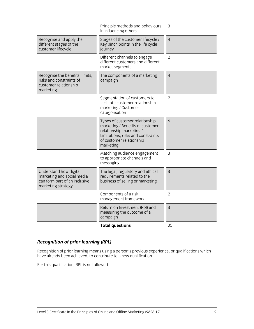|                                                                                                             | <b>Total questions</b>                                                                                                                                                        | 35             |
|-------------------------------------------------------------------------------------------------------------|-------------------------------------------------------------------------------------------------------------------------------------------------------------------------------|----------------|
|                                                                                                             | Return on Investment (RoI) and<br>measuring the outcome of a<br>campaign                                                                                                      | 3              |
|                                                                                                             | Components of a risk<br>management framework                                                                                                                                  | $\overline{2}$ |
| Understand how digital<br>marketing and social media<br>can form part of an inclusive<br>marketing strategy | The legal, regulatory and ethical<br>requirements related to the<br>business of selling or marketing                                                                          | 3              |
|                                                                                                             | Matching audience engagement<br>to appropriate channels and<br>messaging                                                                                                      | 3              |
|                                                                                                             | Types of customer relationship<br>marketing / Benefits of customer<br>relationship marketing /<br>Limitations, risks and constraints<br>of customer relationship<br>marketing | 6              |
|                                                                                                             | Segmentation of customers to<br>facilitate customer relationship<br>marketing / Customer<br>categorisation                                                                    | $\overline{2}$ |
| Recognise the benefits, limits,<br>risks and constraints of<br>customer relationship<br>marketing           | The components of a marketing<br>campaign                                                                                                                                     | $\overline{4}$ |
|                                                                                                             | Different channels to engage<br>different customers and different<br>market segments                                                                                          | $\overline{2}$ |
| Recognise and apply the<br>different stages of the<br>customer lifecycle                                    | Stages of the customer lifecycle /<br>Key pinch points in the life cycle<br>journey                                                                                           | $\overline{4}$ |
|                                                                                                             | Principle methods and behaviours<br>in influencing others                                                                                                                     | 3              |

### *Recognition of prior learning (RPL)*

Recognition of prior learning means using a person's previous experience, or qualifications which have already been achieved, to contribute to a new qualification.

For this qualification, RPL is not allowed.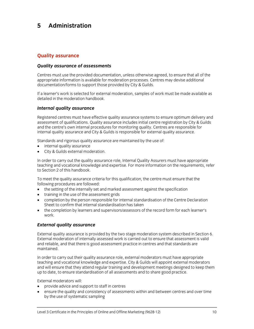# **5 Administration**

### **Quality assurance**

### *Quality assurance of assessments*

Centres must use the provided documentation, unless otherwise agreed, to ensure that all of the appropriate information is available for moderation processes. Centres may devise additional documentation/forms to support those provided by City & Guilds.

If a learner's work is selected for external moderation, samples of work must be made available as detailed in the moderation handbook.

### *Internal quality assurance*

Registered centres must have effective quality assurance systems to ensure optimum delivery and assessment of qualifications. Quality assurance includes initial centre registration by City & Guilds and the centre's own internal procedures for monitoring quality. Centres are responsible for internal quality assurance and City & Guilds is responsible for external quality assurance.

Standards and rigorous quality assurance are maintained by the use of:

- internal quality assurance
- City & Guilds external moderation.

In order to carry out the quality assurance role, Internal Quality Assurers must have appropriate teaching and vocational knowledge and expertise. For more information on the requirements, refer to Section 2 of this handbook.

To meet the quality assurance criteria for this qualification, the centre must ensure that the following procedures are followed:

- the setting of the internally set and marked assessment against the specification
- training in the use of the assessment grids
- completion by the person responsible for internal standardisation of the Centre Declaration Sheet to confirm that internal standardisation has taken
- the completion by learners and supervisors/assessors of the record form for each learner's work.

### *External quality assurance*

External quality assurance is provided by the two stage moderation system described in Section 6. External moderation of internally assessed work is carried out to ensure that assessment is valid and reliable, and that there is good assessment practice in centres and that standards are maintained.

In order to carry out their quality assurance role, external moderators must have appropriate teaching and vocational knowledge and expertise. City & Guilds will appoint external moderators and will ensure that they attend regular training and development meetings designed to keep them up to date, to ensure standardisation of all assessments and to share good practice.

External moderators will:

- provide advice and support to staff in centres
- ensure the quality and consistency of assessments within and between centres and over time by the use of systematic sampling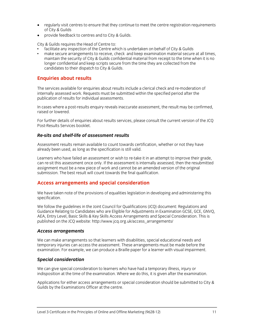- regularly visit centres to ensure that they continue to meet the centre registration requirements of City & Guilds
- provide feedback to centres and to City & Guilds.

City & Guilds requires the Head of Centre to:

- facilitate any inspection of the Centre which is undertaken on behalf of City & Guilds
- make secure arrangements to receive, check and keep examination material secure at all times, maintain the security of City & Guilds confidential material from receipt to the time when it is no longer confidential and keep scripts secure from the time they are collected from the candidates to their dispatch to City & Guilds.

### **Enquiries about results**

The services available for enquiries about results include a clerical check and re-moderation of internally assessed work. Requests must be submitted within the specified period after the publication of results for individual assessments.

In cases where a post-results enquiry reveals inaccurate assessment, the result may be confirmed, raised or lowered.

For further details of enquiries about results services, please consult the current version of the JCQ Post-Results Services booklet.

### *Re-sits and shelf-life of assessment results*

Assessment results remain available to count towards certification, whether or not they have already been used, as long as the specification is still valid.

Learners who have failed an assessment or wish to re-take it in an attempt to improve their grade, can re-sit this assessment once only. If the assessment is internally assessed, then the resubmitted assignment must be a new piece of work and cannot be an amended version of the original submission. The best result will count towards the final qualification.

### **Access arrangements and special consideration**

We have taken note of the provisions of equalities legislation in developing and administering this specification.

We follow the guidelines in the Joint Council for Qualifications (JCQ) document: Regulations and Guidance Relating to Candidates who are Eligible for Adjustments in Examination GCSE, GCE, GNVQ, AEA, Entry Level, Basic Skills & Key Skills Access Arrangements and Special Consideration. This is published on the JCQ website: http://www.jcq.org.uk/access\_arrangements/

#### *Access arrangements*

We can make arrangements so that learners with disabilities, special educational needs and temporary injuries can access the assessment. These arrangements must be made before the examination. For example, we can produce a Braille paper for a learner with visual impairment.

### *Special consideration*

We can give special consideration to learners who have had a temporary illness, injury or indisposition at the time of the examination. Where we do this, it is given after the examination.

Applications for either access arrangements or special consideration should be submitted to City & Guilds by the Examinations Officer at the centre.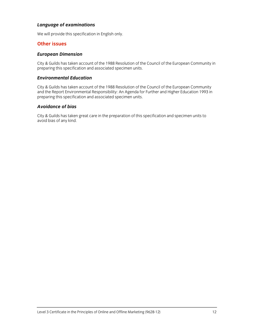### *Language of examinations*

We will provide this specification in English only.

### **Other issues**

### *European Dimension*

City & Guilds has taken account of the 1988 Resolution of the Council of the European Community in preparing this specification and associated specimen units.

### *Environmental Education*

City & Guilds has taken account of the 1988 Resolution of the Council of the European Community and the Report Environmental Responsibility: An Agenda for Further and Higher Education 1993 in preparing this specification and associated specimen units.

### *Avoidance of bias*

City & Guilds has taken great care in the preparation of this specification and specimen units to avoid bias of any kind.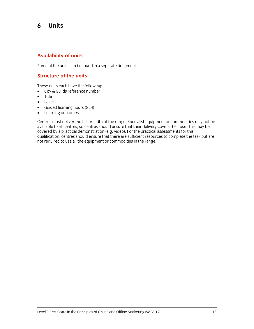## **6 Units**

### **Availability of units**

Some of the units can be found in a separate document.

### **Structure of the units**

These units each have the following:

- City & Guilds reference number
- Title
- Level
- Guided learning hours (GLH)
- Learning outcomes

Centres must deliver the full breadth of the range. Specialist equipment or commodities may not be available to all centres, so centres should ensure that their delivery covers their use. This may be covered by a practical demonstration (e.g. video). For the practical assessments for this qualification, centres should ensure that there are sufficient resources to complete the task but are not required to use all the equipment or commodities in the range.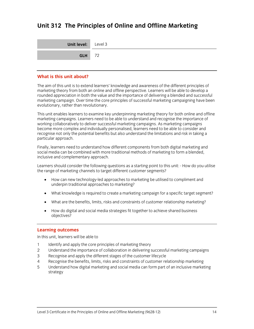# **Unit 312 The Principles of Online and Offline Marketing**

| <b>Unit level:</b> Level 3 |  |
|----------------------------|--|
| $GLH$ 72                   |  |

#### **What is this unit about?**

The aim of this unit is to extend learners' knowledge and awareness of the different principles of marketing theory from both an online and offline perspective. Learners will be able to develop a rounded appreciation in both the value and the importance of delivering a blended and successful marketing campaign. Over time the core principles of successful marketing campaigning have been evolutionary, rather than revolutionary.

This unit enables learners to examine key underpinning marketing theory for both online and offline marketing campaigns. Learners need to be able to understand and recognise the importance of working collaboratively to deliver successful marketing campaigns. As marketing campaigns become more complex and individually personalised, learners need to be able to consider and recognise not only the potential benefits but also understand the limitations and risk in taking a particular approach.

Finally, learners need to understand how different components from both digital marketing and social media can be combined with more traditional methods of marketing to form a blended, inclusive and complementary approach.

Learners should consider the following questions as a starting point to this unit: - How do you utilise the range of marketing channels to target different customer segments?

- How can new technology-led approaches to marketing be utilised to compliment and underpin traditional approaches to marketing?
- What knowledge is required to create a marketing campaign for a specific target segment?
- What are the benefits, limits, risks and constraints of customer relationship marketing?
- How do digital and social media strategies fit together to achieve shared business objectives?

### **Learning outcomes**

In this unit, learners will be able to

- 1 Identify and apply the core principles of marketing theory
- 2 Understand the importance of collaboration in delivering successful marketing campaigns
- 3 Recognise and apply the different stages of the customer lifecycle
- 4 Recognise the benefits, limits, risks and constraints of customer relationship marketing
- 5 Understand how digital marketing and social media can form part of an inclusive marketing strategy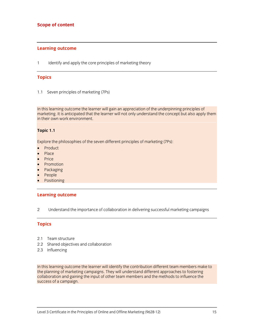### **Learning outcome**

1 Identify and apply the core principles of marketing theory

### **Topics**

1.1 Seven principles of marketing (7Ps)

In this learning outcome the learner will gain an appreciation of the underpinning principles of marketing. It is anticipated that the learner will not only understand the concept but also apply them in their own work environment.

### **Topic 1.1**

Explore the philosophies of the seven different principles of marketing (7Ps):

- Product
- Place
- Price
- Promotion
- Packaging
- People
- Positioning

### **Learning outcome**

2 Understand the importance of collaboration in delivering successful marketing campaigns

### **Topics**

- 2.1 Team structure
- 2.2 Shared objectives and collaboration
- 2.3 Influencing

In this learning outcome the learner will identify the contribution different team members make to the planning of marketing campaigns. They will understand different approaches to fostering collaboration and gaining the input of other team members and the methods to influence the success of a campaign.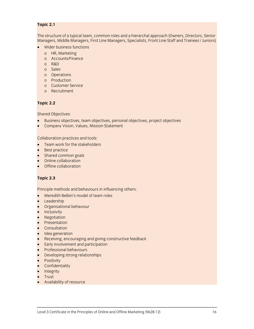### **Topic 2.1**

The structure of a typical team, common roles and a hierarchal approach (Owners, Directors, Senior Managers, Middle Managers, First Line Managers, Specialists, Front Line Staff and Trainees / Juniors)

- Wider business functions
	- o HR, Marketing
	- o Accounts/Finance
	- o R&D
	- o Sales
	- o Operations
	- o Production
	- o Customer Service
	- o Recruitment

### **Topic 2.2**

Shared Objectives:

- Business objectives, team objectives, personal objectives, project objectives
- Company Vision, Values, Mission Statement

Collaboration practices and tools:

- Team work for the stakeholders
- Best practice
- Shared common goals
- Online collaboration
- Offline collaboration

### **Topic 2.3**

Principle methods and behaviours in influencing others:

- Meredith Belbin's model of team roles
- Leadership
- Organisational behaviour
- Inclusivity
- Negotiation
- Presentation
- Consultation
- Idea generation
- Receiving, encouraging and giving constructive feedback
- **Early involvement and participation**
- Professional behaviours
- Developing strong relationships
- Positivity
- **•** Confidentiality
- Integrity
- Trust
- Availability of resource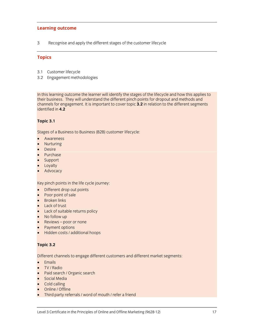### **Learning outcome**

3 Recognise and apply the different stages of the customer lifecycle

### **Topics**

- 3.1 Customer lifecycle
- 3.2 Engagement methodologies

In this learning outcome the learner will identify the stages of the lifecycle and how this applies to their business. They will understand the different pinch points for dropout and methods and channels for engagement. It is important to cover topic **3.2** in relation to the different segments identified in **4.2**

### **Topic 3.1**

Stages of a Business to Business (B2B) customer lifecycle:

- Awareness
- Nurturing
- **Desire**
- Purchase
- Support
- Loyalty
- Advocacy

Key pinch points in the life cycle journey:

- Different drop out points
- Poor point of sale
- **Broken links**
- Lack of trust
- Lack of suitable returns policy
- No follow up
- Reviews poor or none
- Payment options
- Hidden costs / additional hoops

### **Topic 3.2**

Different channels to engage different customers and different market segments:

- Emails
- TV / Radio
- Paid search / Organic search
- Social Media
- Cold calling
- Online / Offline
- Third party referrals / word of mouth / refer a friend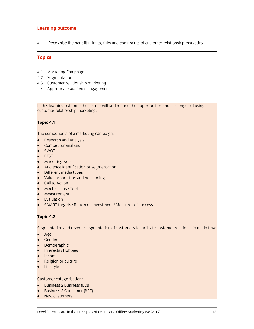### **Learning outcome**

4 Recognise the benefits, limits, risks and constraints of customer relationship marketing

### **Topics**

- 4.1 Marketing Campaign
- 4.2 Segmentation
- 4.3 Customer relationship marketing
- 4.4 Appropriate audience engagement

In this learning outcome the learner will understand the opportunities and challenges of using customer relationship marketing.

### **Topic 4.1**

The components of a marketing campaign:

- Research and Analysis
- Competitor analysis
- SWOT
- PEST
- Marketing Brief
- Audience identification or segmentation
- Different media types
- Value proposition and positioning
- Call to Action
- Mechanisms / Tools
- **Measurement**
- Evaluation
- SMART targets / Return on Investment / Measures of success

### **Topic 4.2**

Segmentation and reverse segmentation of customers to facilitate customer relationship marketing:

- Age
- Gender
- Demographic
- Interests / Hobbies
- Income
- Religion or culture
- Lifestyle

Customer categorisation:

- Business 2 Business (B2B)
- Business 2 Consumer (B2C)
- New customers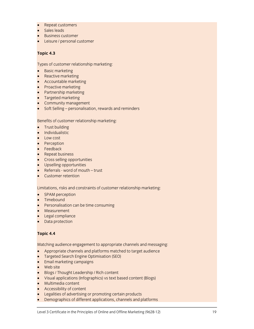- Repeat customers
- Sales leads
- Business customer
- **Leisure / personal customer**

### **Topic 4.3**

Types of customer relationship marketing:

- Basic marketing
- Reactive marketing
- Accountable marketing
- Proactive marketing
- Partnership marketing
- **•** Targeted marketing
- Community management
- Soft Selling personalisation, rewards and reminders

Benefits of customer relationship marketing:

- Trust building
- Individualistic
- Low cost
- Perception
- Feedback
- Repeat business
- Cross selling opportunities
- Upselling opportunities
- Referrals word of mouth trust
- Customer retention

Limitations, risks and constraints of customer relationship marketing:

- SPAM perception
- Timebound
- Personalisation can be time consuming
- Measurement
- **Legal compliance**
- Data protection

### **Topic 4.4**

Matching audience engagement to appropriate channels and messaging:

- Appropriate channels and platforms matched to target audience
- Targeted Search Engine Optimisation (SEO)
- Email marketing campaigns
- Web site
- Blogs / Thought Leadership / Rich content
- Visual applications (Infographics) vs text based content (Blogs)
- Multimedia content
- Accessibility of content
- Legalities of advertising or promoting certain products
- Demographics of different applications, channels and platforms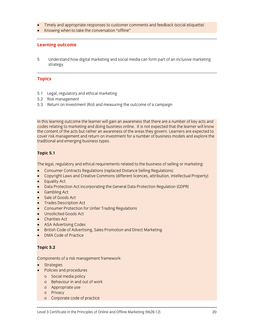- Timely and appropriate responses to customer comments and feedback (social etiquette)
- Knowing when to take the conversation "offline"

### **Learning outcome**

5 Understand how digital marketing and social media can form part of an inclusive marketing strategy

### **Topics**

- 5.1 Legal, regulatory and ethical marketing
- 5.2 Risk management
- 5.3 Return on Investment (RoI) and measuring the outcome of a campaign

In this learning outcome the learner will gain an awareness that there are a number of key acts and codes relating to marketing and doing business online. It is not expected that the learner will know the content of the acts but rather an awareness of the areas they govern. Learners are expected to cover risk management and return on investment for a number of business models and explore the traditional and emerging business types.

### **Topic 5.1**

The legal, regulatory and ethical requirements related to the business of selling or marketing:

- Consumer Contracts Regulations (replaced Distance Selling Regulations)
- Copyright Laws and Creative Commons (different licences, attribution, Intellectual Property)
- Equality Act
- Data Protection Act incorporating the General Data Protection Regulation (GDPR)
- Gambling Act
- Sale of Goods Act
- Trades Description Act
- Consumer Protection for Unfair Trading Regulations
- Unsolicited Goods Act
- Charities Act
- ASA Advertising Codes
- British Code of Advertising, Sales Promotion and Direct Marketing.
- DMA Code of Practice

### **Topic 5.2**

Components of a risk management framework:

- **Strategies**
- Policies and procedures
	- o Social media policy
	- o Behaviour in and out of work
	- o Appropriate use
	- o Privacy
	- o Corporate code of practice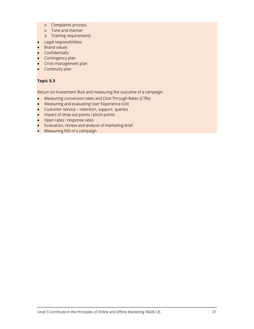- o Complaints process
- o Tone and manner
- o Training requirements
- **•** Legal responsibilities
- Brand values
- **•** Confidentially
- Contingency plan
- Crisis management plan
- Continuity plan

### **Topic 5.3**

Return on Investment (RoI) and measuring the outcome of a campaign

- Measuring conversion rates and Click-Through-Rates (CTRs)
- Measuring and evaluating User Experience (UX)
- Customer service retention, support, queries
- Impact of drop out points / pinch points
- Open rates / response rates
- Evaluation, review and analysis of marketing brief
- Measuring ROI of a campaign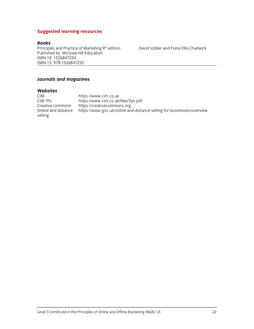### **Suggested learning resources**

#### *Books*

Principles and Practice of Marketing 9<sup>th</sup> edition David Jobber and Fiona Ellis-Chadwick Published by: McGraw-Hill Education ISBN-10: 152684723X ISBN-13: 978-1526847232

#### *Journals and magazines*

# *Websites*

CIM https://www.cim.co.uk<br>CIM 7Ps https://www.cim.co.uk/ CIM 7Ps https://www.cim.co.uk/files/7ps.pdf<br>Creative commons https://creativecommons.org https://creativecommons.org Online and distance https://www.gov.uk/online-and-distance-selling-for-businesses/overview selling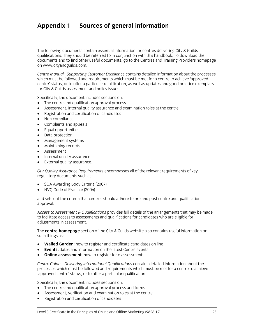# **Appendix 1 Sources of general information**

The following documents contain essential information for centres delivering City & Guilds qualifications. They should be referred to in conjunction with this handbook. To download the documents and to find other useful documents, go to the Centres and Training Providers homepage on www.cityandguilds.com.

*Centre Manual - Supporting Customer Excellence* contains detailed information about the processes which must be followed and requirements which must be met for a centre to achieve 'approved centre' status, or to offer a particular qualification, as well as updates and good practice exemplars for City & Guilds assessment and policy issues.

Specifically, the document includes sections on:

- The centre and qualification approval process
- Assessment, internal quality assurance and examination roles at the centre
- Registration and certification of candidates
- Non-compliance
- Complaints and appeals
- Equal opportunities
- Data protection
- Management systems
- Maintaining records
- Assessment
- Internal quality assurance
- External quality assurance.

*Our Quality Assurance Requirements* encompasses all of the relevant requirements of key regulatory documents such as:

- SQA Awarding Body Criteria (2007)
- NVQ Code of Practice (2006)

and sets out the criteria that centres should adhere to pre and post centre and qualification approval.

*Access to Assessment & Qualifications* provides full details of the arrangements that may be made to facilitate access to assessments and qualifications for candidates who are eligible for adjustments in assessment.

The **centre homepage** section of the City & Guilds website also contains useful information on such things as:

- **Walled Garden**: how to register and certificate candidates on line
- **Events:** dates and information on the latest Centre events
- **Online assessment:** how to register for e-assessments.

*Centre Guide – Delivering International Qualifications* contains detailed information about the processes which must be followed and requirements which must be met for a centre to achieve 'approved centre' status, or to offer a particular qualification.

Specifically, the document includes sections on:

- The centre and qualification approval process and forms
- Assessment, verification and examination roles at the centre
- Registration and certification of candidates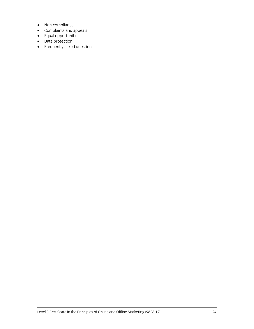- Non-compliance
- Complaints and appeals
- **•** Equal opportunities
- Data protection
- Frequently asked questions.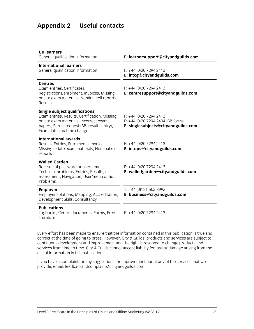# **Appendix 2 Useful contacts**

| <b>UK learners</b><br>General qualification information                                                                                                                                                    | E: learnersupport@cityandguilds.com                                                                 |
|------------------------------------------------------------------------------------------------------------------------------------------------------------------------------------------------------------|-----------------------------------------------------------------------------------------------------|
| <b>International learners</b><br>General qualification information                                                                                                                                         | $F: +44(0)2072942413$<br>E: intcg@cityandguilds.com                                                 |
| <b>Centres</b><br>Exam entries, Certificates,<br>Registrations/enrolment, Invoices, Missing<br>or late exam materials, Nominal roll reports,<br>Results                                                    | $F: +44(0)2072942413$<br>E: centresupport@cityandguilds.com                                         |
| <b>Single subject qualifications</b><br>Exam entries, Results, Certification, Missing<br>or late exam materials, Incorrect exam<br>papers, Forms request (BB, results entry),<br>Exam date and time change | $F: +44(0)2072942413$<br>$F: +44$ (0)20 7294 2404 (BB forms)<br>E: singlesubjects@cityandguilds.com |
| <b>International awards</b><br>Results, Entries, Enrolments, Invoices,<br>Missing or late exam materials, Nominal roll<br>reports                                                                          | $F: +44(0)2072942413$<br>E: intops@cityandguilds.com                                                |
| <b>Walled Garden</b><br>Re-issue of password or username,<br>Technical problems, Entries, Results, e-<br>assessment, Navigation, User/menu option,<br>Problems                                             | $F: +44(0)2072942413$<br>E: walledgarden@cityandguilds.com                                          |
| <b>Employer</b><br>Employer solutions, Mapping, Accreditation,<br>Development Skills, Consultancy                                                                                                          | $T: +44(0)1215038993$<br>E: business@cityandguilds.com                                              |
| <b>Publications</b><br>Logbooks, Centre documents, Forms, Free<br>literature                                                                                                                               | $F: +44(0)2072942413$                                                                               |
|                                                                                                                                                                                                            |                                                                                                     |

Every effort has been made to ensure that the information contained in this publication is true and correct at the time of going to press. However, City & Guilds' products and services are subject to continuous development and improvement and the right is reserved to change products and services from time to time. City & Guilds cannot accept liability for loss or damage arising from the use of information in this publication.

If you have a complaint, or any suggestions for improvement about any of the services that we provide, email: feedbackandcomplaints@cityandguilds.com